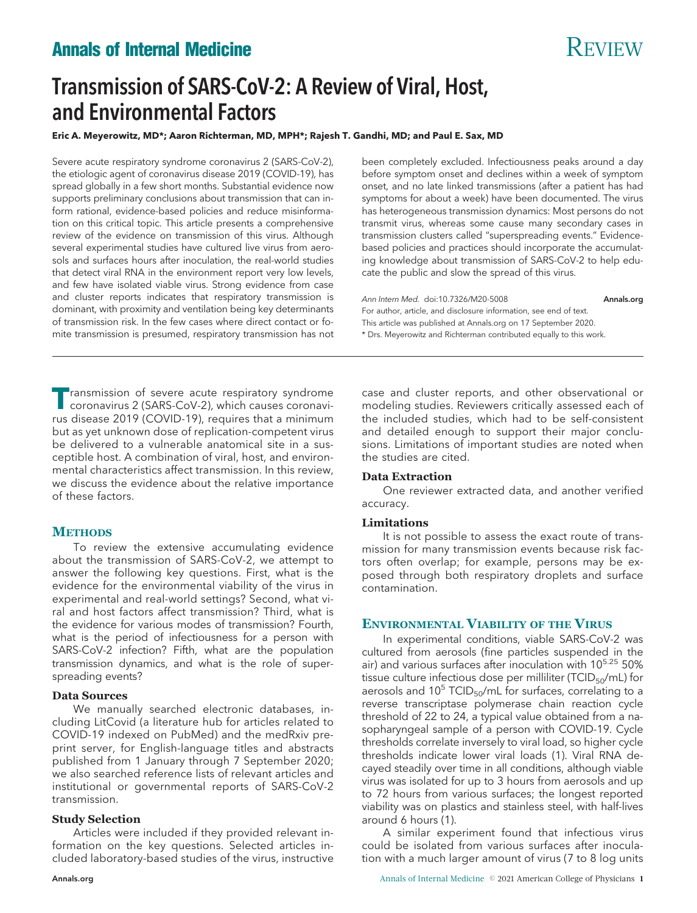# **Annals of Internal Medicine** Review Review Review Review Review Review Review Review Review Review Review Review Review Review Review Review Review Review Review Review Review Review Review Review Review Review Review Rev

# Transmission of SARS-CoV-2: A Review of Viral, Host, and Environmental Factors

**Eric A. Meyerowitz, MD\*; Aaron Richterman, MD, MPH\*; Rajesh T. Gandhi, MD; and Paul E. Sax, MD**

Severe acute respiratory syndrome coronavirus 2 (SARS-CoV-2), the etiologic agent of coronavirus disease 2019 (COVID-19), has spread globally in a few short months. Substantial evidence now supports preliminary conclusions about transmission that can inform rational, evidence-based policies and reduce misinformation on this critical topic. This article presents a comprehensive review of the evidence on transmission of this virus. Although several experimental studies have cultured live virus from aerosols and surfaces hours after inoculation, the real-world studies that detect viral RNA in the environment report very low levels, and few have isolated viable virus. Strong evidence from case and cluster reports indicates that respiratory transmission is dominant, with proximity and ventilation being key determinants of transmission risk. In the few cases where direct contact or fomite transmission is presumed, respiratory transmission has not

been completely excluded. Infectiousness peaks around a day before symptom onset and declines within a week of symptom onset, and no late linked transmissions (after a patient has had symptoms for about a week) have been documented. The virus has heterogeneous transmission dynamics: Most persons do not transmit virus, whereas some cause many secondary cases in transmission clusters called "superspreading events." Evidencebased policies and practices should incorporate the accumulating knowledge about transmission of SARS-CoV-2 to help educate the public and slow the spread of this virus.

Ann Intern Med. doi:10.7326/M20-5008 [Annals.org](http://www.annals.org) For author, article, and disclosure information, see end of text. This article was published at [Annals.org](http://www.annals.org) on 17 September 2020. \* Drs. Meyerowitz and Richterman contributed equally to this work.

**Transmission of severe acute respiratory syndrome**<br>coronavirus 2 (SARS-CoV-2), which causes coronavirus disease 2019 (COVID-19), requires that a minimum but as yet unknown dose of replication-competent virus be delivered to a vulnerable anatomical site in a susceptible host. A combination of viral, host, and environmental characteristics affect transmission. In this review, we discuss the evidence about the relative importance of these factors.

# **METHODS**

To review the extensive accumulating evidence about the transmission of SARS-CoV-2, we attempt to answer the following key questions. First, what is the evidence for the environmental viability of the virus in experimental and real-world settings? Second, what viral and host factors affect transmission? Third, what is the evidence for various modes of transmission? Fourth, what is the period of infectiousness for a person with SARS-CoV-2 infection? Fifth, what are the population transmission dynamics, and what is the role of superspreading events?

# **Data Sources**

We manually searched electronic databases, including LitCovid (a literature hub for articles related to COVID-19 indexed on PubMed) and the medRxiv preprint server, for English-language titles and abstracts published from 1 January through 7 September 2020; we also searched reference lists of relevant articles and institutional or governmental reports of SARS-CoV-2 transmission.

# **Study Selection**

Articles were included if they provided relevant information on the key questions. Selected articles included laboratory-based studies of the virus, instructive

case and cluster reports, and other observational or modeling studies. Reviewers critically assessed each of the included studies, which had to be self-consistent and detailed enough to support their major conclusions. Limitations of important studies are noted when the studies are cited.

# **Data Extraction**

One reviewer extracted data, and another verified accuracy.

# **Limitations**

It is not possible to assess the exact route of transmission for many transmission events because risk factors often overlap; for example, persons may be exposed through both respiratory droplets and surface contamination.

# **ENVIRONMENTAL VIABILITY OF THE VIRUS**

In experimental conditions, viable SARS-CoV-2 was cultured from aerosols (fine particles suspended in the air) and various surfaces after inoculation with 10<sup>5.25</sup> 50% tissue culture infectious dose per milliliter (TCID $_{50}$ /mL) for aerosols and 10<sup>5</sup> TCID<sub>50</sub>/mL for surfaces, correlating to a reverse transcriptase polymerase chain reaction cycle threshold of 22 to 24, a typical value obtained from a nasopharyngeal sample of a person with COVID-19. Cycle thresholds correlate inversely to viral load, so higher cycle thresholds indicate lower viral loads (1). Viral RNA decayed steadily over time in all conditions, although viable virus was isolated for up to 3 hours from aerosols and up to 72 hours from various surfaces; the longest reported viability was on plastics and stainless steel, with half-lives around 6 hours (1).

A similar experiment found that infectious virus could be isolated from various surfaces after inoculation with a much larger amount of virus (7 to 8 log units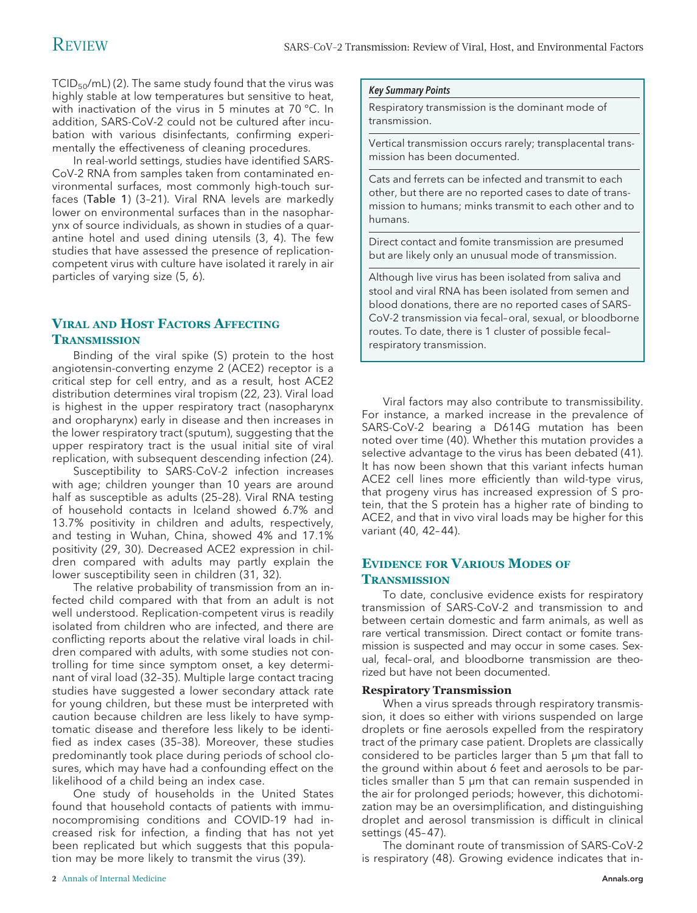TCID $_{50}$ /mL) (2). The same study found that the virus was highly stable at low temperatures but sensitive to heat, with inactivation of the virus in 5 minutes at 70 °C. In addition, SARS-CoV-2 could not be cultured after incubation with various disinfectants, confirming experimentally the effectiveness of cleaning procedures.

In real-world settings, studies have identified SARS-CoV-2 RNA from samples taken from contaminated environmental surfaces, most commonly high-touch surfaces (Table 1) (3–21). Viral RNA levels are markedly lower on environmental surfaces than in the nasopharynx of source individuals, as shown in studies of a quarantine hotel and used dining utensils (3, 4). The few studies that have assessed the presence of replicationcompetent virus with culture have isolated it rarely in air particles of varying size (5, 6).

# **VIRAL AND HOST FACTORS AFFECTING TRANSMISSION**

Binding of the viral spike (S) protein to the host angiotensin-converting enzyme 2 (ACE2) receptor is a critical step for cell entry, and as a result, host ACE2 distribution determines viral tropism (22, 23). Viral load is highest in the upper respiratory tract (nasopharynx and oropharynx) early in disease and then increases in the lower respiratory tract (sputum), suggesting that the upper respiratory tract is the usual initial site of viral replication, with subsequent descending infection (24).

Susceptibility to SARS-CoV-2 infection increases with age; children younger than 10 years are around half as susceptible as adults (25–28). Viral RNA testing of household contacts in Iceland showed 6.7% and 13.7% positivity in children and adults, respectively, and testing in Wuhan, China, showed 4% and 17.1% positivity (29, 30). Decreased ACE2 expression in children compared with adults may partly explain the lower susceptibility seen in children (31, 32).

The relative probability of transmission from an infected child compared with that from an adult is not well understood. Replication-competent virus is readily isolated from children who are infected, and there are conflicting reports about the relative viral loads in children compared with adults, with some studies not controlling for time since symptom onset, a key determinant of viral load (32–35). Multiple large contact tracing studies have suggested a lower secondary attack rate for young children, but these must be interpreted with caution because children are less likely to have symptomatic disease and therefore less likely to be identified as index cases (35–38). Moreover, these studies predominantly took place during periods of school closures, which may have had a confounding effect on the likelihood of a child being an index case.

One study of households in the United States found that household contacts of patients with immunocompromising conditions and COVID-19 had increased risk for infection, a finding that has not yet been replicated but which suggests that this population may be more likely to transmit the virus (39).

### Key Summary Points

Respiratory transmission is the dominant mode of transmission.

Vertical transmission occurs rarely; transplacental transmission has been documented.

Cats and ferrets can be infected and transmit to each other, but there are no reported cases to date of transmission to humans; minks transmit to each other and to humans.

Direct contact and fomite transmission are presumed but are likely only an unusual mode of transmission.

Although live virus has been isolated from saliva and stool and viral RNA has been isolated from semen and blood donations, there are no reported cases of SARS-CoV-2 transmission via fecal–oral, sexual, or bloodborne routes. To date, there is 1 cluster of possible fecal– respiratory transmission.

Viral factors may also contribute to transmissibility. For instance, a marked increase in the prevalence of SARS-CoV-2 bearing a D614G mutation has been noted over time (40). Whether this mutation provides a selective advantage to the virus has been debated (41). It has now been shown that this variant infects human ACE2 cell lines more efficiently than wild-type virus, that progeny virus has increased expression of S protein, that the S protein has a higher rate of binding to ACE2, and that in vivo viral loads may be higher for this variant (40, 42– 44).

# **EVIDENCE FOR VARIOUS MODES OF TRANSMISSION**

To date, conclusive evidence exists for respiratory transmission of SARS-CoV-2 and transmission to and between certain domestic and farm animals, as well as rare vertical transmission. Direct contact or fomite transmission is suspected and may occur in some cases. Sexual, fecal–oral, and bloodborne transmission are theorized but have not been documented.

# **Respiratory Transmission**

When a virus spreads through respiratory transmission, it does so either with virions suspended on large droplets or fine aerosols expelled from the respiratory tract of the primary case patient. Droplets are classically considered to be particles larger than 5 μm that fall to the ground within about 6 feet and aerosols to be particles smaller than 5 μm that can remain suspended in the air for prolonged periods; however, this dichotomization may be an oversimplification, and distinguishing droplet and aerosol transmission is difficult in clinical settings (45– 47).

The dominant route of transmission of SARS-CoV-2 is respiratory (48). Growing evidence indicates that in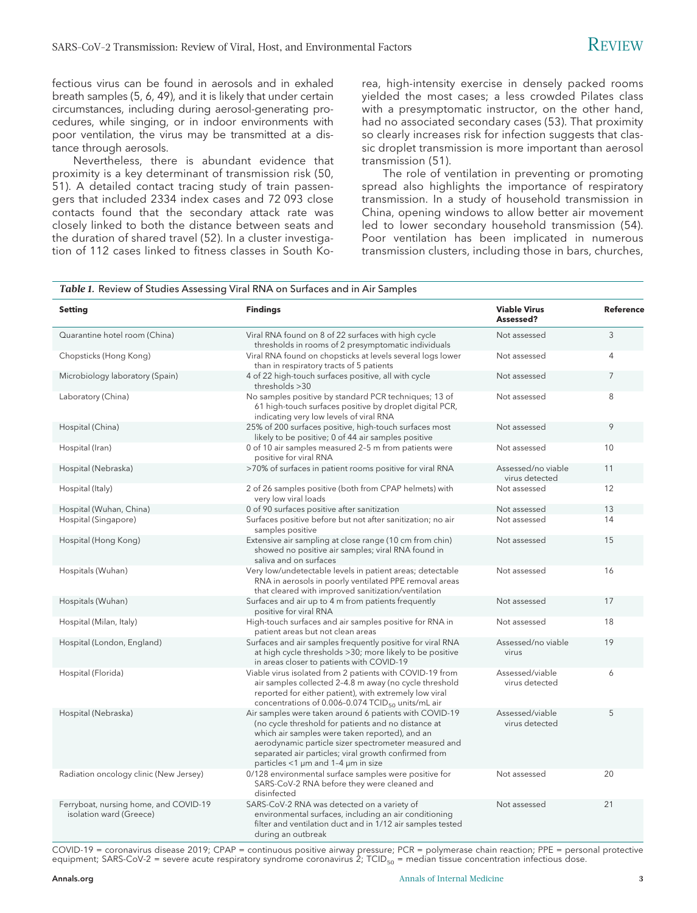fectious virus can be found in aerosols and in exhaled breath samples (5, 6, 49), and it is likely that under certain circumstances, including during aerosol-generating procedures, while singing, or in indoor environments with poor ventilation, the virus may be transmitted at a distance through aerosols.

Nevertheless, there is abundant evidence that proximity is a key determinant of transmission risk (50, 51). A detailed contact tracing study of train passengers that included 2334 index cases and 72 093 close contacts found that the secondary attack rate was closely linked to both the distance between seats and the duration of shared travel (52). In a cluster investigation of 112 cases linked to fitness classes in South Ko-

rea, high-intensity exercise in densely packed rooms yielded the most cases; a less crowded Pilates class with a presymptomatic instructor, on the other hand, had no associated secondary cases (53). That proximity so clearly increases risk for infection suggests that classic droplet transmission is more important than aerosol transmission (51).

The role of ventilation in preventing or promoting spread also highlights the importance of respiratory transmission. In a study of household transmission in China, opening windows to allow better air movement led to lower secondary household transmission (54). Poor ventilation has been implicated in numerous transmission clusters, including those in bars, churches,

#### *Table 1.* Review of Studies Assessing Viral RNA on Surfaces and in Air Samples **Setting Findings Viable Virus Assessed? Reference** Quarantine hotel room (China) Viral RNA found on 8 of 22 surfaces with high cycle thresholds in rooms of 2 presymptomatic individuals Not assessed 3 Chopsticks (Hong Kong) Viral RNA found on chopsticks at levels several logs lower than in respiratory tracts of 5 patients Not assessed 4 Microbiology laboratory (Spain) 4 of 22 high-touch surfaces positive, all with cycle thresholds >30 Not assessed 7 Laboratory (China) and the Samples positive by standard PCR techniques; 13 of 61 high-touch surfaces positive by droplet digital PCR, indicating very low levels of viral RNA Not assessed 8 Hospital (China) 25% of 200 surfaces positive, high-touch surfaces most likely to be positive; 0 of 44 air samples positive Not assessed 9 Hospital (Iran) 0 of 10 air samples measured 2–5 m from patients were positive for viral RNA Not assessed 10 Hospital (Nebraska) **>70% of surfaces in patient rooms positive for viral RNA** Assessed/no viable virus detected 11 Hospital (Italy) 2 of 26 samples positive (both from CPAP helmets) with very low viral loads Not assessed 12 Hospital (Wuhan, China) **2020** of 90 surfaces positive after sanitization Not assessed 13 Hospital (Singapore) Surfaces positive before but not after sanitization; no air samples positive Not assessed 14 Hospital (Hong Kong) Extensive air sampling at close range (10 cm from chin) showed no positive air samples; viral RNA found in saliva and on surfaces Not assessed and 15 Hospitals (Wuhan) Very low/undetectable levels in patient areas; detectable RNA in aerosols in poorly ventilated PPE removal areas that cleared with improved sanitization/ventilation Not assessed 16 Hospitals (Wuhan) Surfaces and air up to 4 m from patients frequently positive for viral RNA Not assessed 17 Hospital (Milan, Italy) High-touch surfaces and air samples positive for RNA in patient areas but not clean areas Not assessed 18 Hospital (London, England) Surfaces and air samples frequently positive for viral RNA at high cycle thresholds >30; more likely to be positive in areas closer to patients with COVID-19 Assessed/no viable virus 19 Hospital (Florida) Viable virus isolated from 2 patients with COVID-19 from air samples collected 2–4.8 m away (no cycle threshold reported for either patient), with extremely low viral concentrations of  $0.006$ -0.074 TCID<sub>50</sub> units/mL air Assessed/viable virus detected 6 Hospital (Nebraska) Air samples were taken around 6 patients with COVID-19 (no cycle threshold for patients and no distance at which air samples were taken reported), and an aerodynamic particle sizer spectrometer measured and separated air particles; viral growth confirmed from particles <1 μm and 1–4 μm in size Assessed/viable virus detected 5 Radiation oncology clinic (New Jersey) 0/128 environmental surface samples were positive for SARS-CoV-2 RNA before they were cleaned and disinfected Not assessed 20 Ferryboat, nursing home, and COVID-19 isolation ward (Greece) SARS-CoV-2 RNA was detected on a variety of environmental surfaces, including an air conditioning filter and ventilation duct and in 1/12 air samples tested during an outbreak Not assessed 21

COVID-19 = coronavirus disease 2019; CPAP = continuous positive airway pressure; PCR = polymerase chain reaction; PPE = personal protective equipment; SARS-CoV-2 = severe acute respiratory syndrome coronavirus 2; TCID<sub>50</sub> = median tissue concentration infectious dose.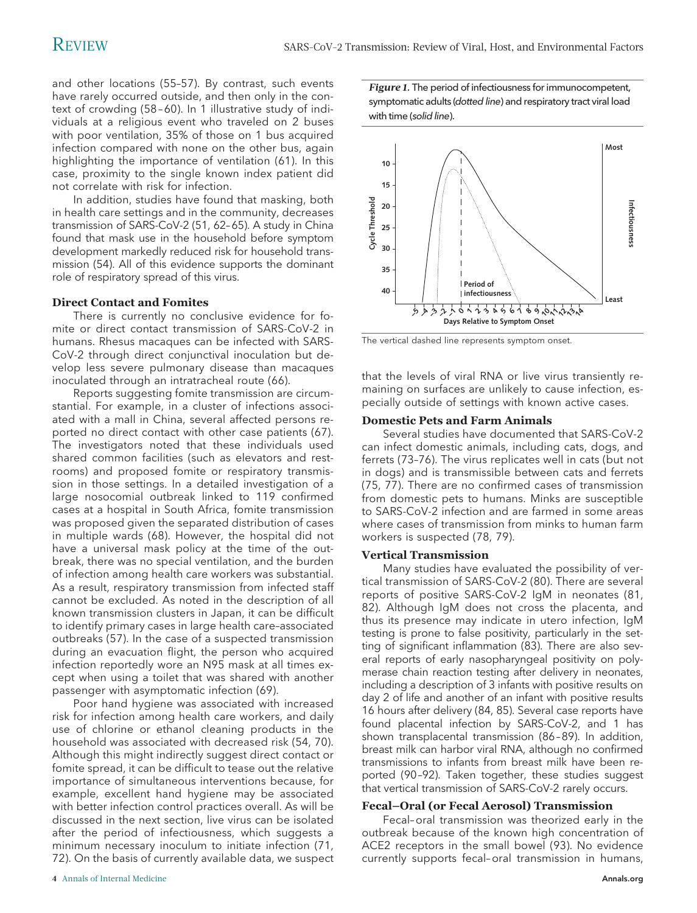and other locations (55–57). By contrast, such events have rarely occurred outside, and then only in the context of crowding (58 – 60). In 1 illustrative study of individuals at a religious event who traveled on 2 buses with poor ventilation, 35% of those on 1 bus acquired infection compared with none on the other bus, again highlighting the importance of ventilation (61). In this case, proximity to the single known index patient did not correlate with risk for infection.

In addition, studies have found that masking, both in health care settings and in the community, decreases transmission of SARS-CoV-2 (51, 62–65). A study in China found that mask use in the household before symptom development markedly reduced risk for household transmission (54). All of this evidence supports the dominant role of respiratory spread of this virus.

# **Direct Contact and Fomites**

There is currently no conclusive evidence for fomite or direct contact transmission of SARS-CoV-2 in humans. Rhesus macaques can be infected with SARS-CoV-2 through direct conjunctival inoculation but develop less severe pulmonary disease than macaques inoculated through an intratracheal route (66).

Reports suggesting fomite transmission are circumstantial. For example, in a cluster of infections associated with a mall in China, several affected persons reported no direct contact with other case patients (67). The investigators noted that these individuals used shared common facilities (such as elevators and restrooms) and proposed fomite or respiratory transmission in those settings. In a detailed investigation of a large nosocomial outbreak linked to 119 confirmed cases at a hospital in South Africa, fomite transmission was proposed given the separated distribution of cases in multiple wards (68). However, the hospital did not have a universal mask policy at the time of the outbreak, there was no special ventilation, and the burden of infection among health care workers was substantial. As a result, respiratory transmission from infected staff cannot be excluded. As noted in the description of all known transmission clusters in Japan, it can be difficult to identify primary cases in large health care–associated outbreaks (57). In the case of a suspected transmission during an evacuation flight, the person who acquired infection reportedly wore an N95 mask at all times except when using a toilet that was shared with another passenger with asymptomatic infection (69).

Poor hand hygiene was associated with increased risk for infection among health care workers, and daily use of chlorine or ethanol cleaning products in the household was associated with decreased risk (54, 70). Although this might indirectly suggest direct contact or fomite spread, it can be difficult to tease out the relative importance of simultaneous interventions because, for example, excellent hand hygiene may be associated with better infection control practices overall. As will be discussed in the next section, live virus can be isolated after the period of infectiousness, which suggests a minimum necessary inoculum to initiate infection (71, 72). On the basis of currently available data, we suspect

*Figure 1.* The period of infectiousness for immunocompetent, symptomatic adults (dotted line) and respiratory tract viral load with time (solid line).



The vertical dashed line represents symptom onset.

that the levels of viral RNA or live virus transiently remaining on surfaces are unlikely to cause infection, especially outside of settings with known active cases.

### **Domestic Pets and Farm Animals**

Several studies have documented that SARS-CoV-2 can infect domestic animals, including cats, dogs, and ferrets (73–76). The virus replicates well in cats (but not in dogs) and is transmissible between cats and ferrets (75, 77). There are no confirmed cases of transmission from domestic pets to humans. Minks are susceptible to SARS-CoV-2 infection and are farmed in some areas where cases of transmission from minks to human farm workers is suspected (78, 79).

### **Vertical Transmission**

Many studies have evaluated the possibility of vertical transmission of SARS-CoV-2 (80). There are several reports of positive SARS-CoV-2 IgM in neonates (81, 82). Although IgM does not cross the placenta, and thus its presence may indicate in utero infection, IgM testing is prone to false positivity, particularly in the setting of significant inflammation (83). There are also several reports of early nasopharyngeal positivity on polymerase chain reaction testing after delivery in neonates, including a description of 3 infants with positive results on day 2 of life and another of an infant with positive results 16 hours after delivery (84, 85). Several case reports have found placental infection by SARS-CoV-2, and 1 has shown transplacental transmission (86 –89). In addition, breast milk can harbor viral RNA, although no confirmed transmissions to infants from breast milk have been reported (90 –92). Taken together, these studies suggest that vertical transmission of SARS-CoV-2 rarely occurs.

### **Fecal–Oral (or Fecal Aerosol) Transmission**

Fecal–oral transmission was theorized early in the outbreak because of the known high concentration of ACE2 receptors in the small bowel (93). No evidence currently supports fecal–oral transmission in humans,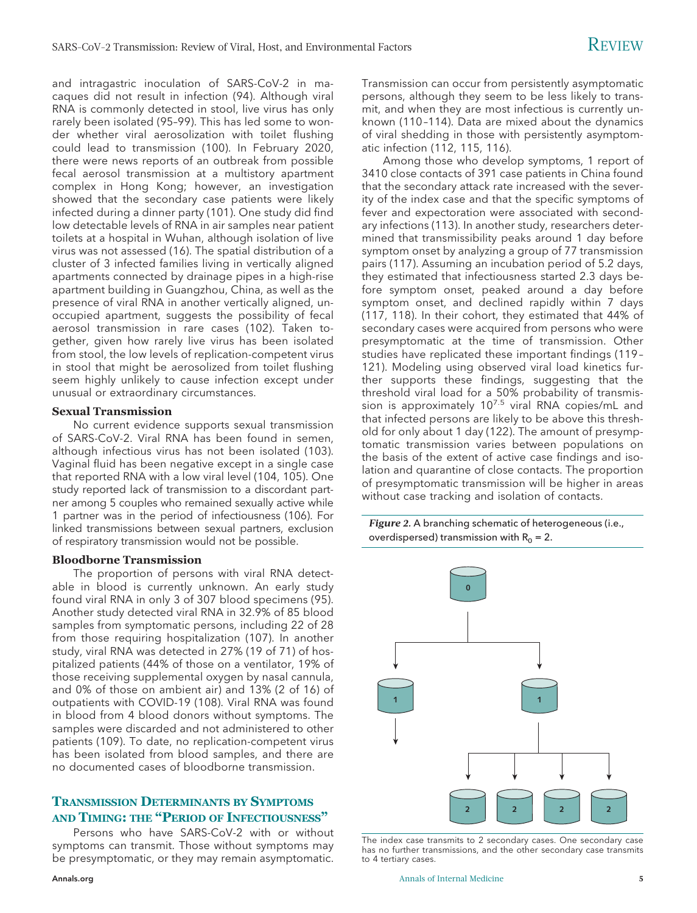and intragastric inoculation of SARS-CoV-2 in macaques did not result in infection (94). Although viral RNA is commonly detected in stool, live virus has only rarely been isolated (95–99). This has led some to wonder whether viral aerosolization with toilet flushing could lead to transmission (100). In February 2020, there were news reports of an outbreak from possible fecal aerosol transmission at a multistory apartment complex in Hong Kong; however, an investigation showed that the secondary case patients were likely infected during a dinner party (101). One study did find low detectable levels of RNA in air samples near patient toilets at a hospital in Wuhan, although isolation of live virus was not assessed (16). The spatial distribution of a cluster of 3 infected families living in vertically aligned apartments connected by drainage pipes in a high-rise apartment building in Guangzhou, China, as well as the presence of viral RNA in another vertically aligned, unoccupied apartment, suggests the possibility of fecal aerosol transmission in rare cases (102). Taken together, given how rarely live virus has been isolated from stool, the low levels of replication-competent virus in stool that might be aerosolized from toilet flushing seem highly unlikely to cause infection except under unusual or extraordinary circumstances.

# **Sexual Transmission**

No current evidence supports sexual transmission of SARS-CoV-2. Viral RNA has been found in semen, although infectious virus has not been isolated (103). Vaginal fluid has been negative except in a single case that reported RNA with a low viral level (104, 105). One study reported lack of transmission to a discordant partner among 5 couples who remained sexually active while 1 partner was in the period of infectiousness (106). For linked transmissions between sexual partners, exclusion of respiratory transmission would not be possible.

# **Bloodborne Transmission**

The proportion of persons with viral RNA detectable in blood is currently unknown. An early study found viral RNA in only 3 of 307 blood specimens (95). Another study detected viral RNA in 32.9% of 85 blood samples from symptomatic persons, including 22 of 28 from those requiring hospitalization (107). In another study, viral RNA was detected in 27% (19 of 71) of hospitalized patients (44% of those on a ventilator, 19% of those receiving supplemental oxygen by nasal cannula, and 0% of those on ambient air) and 13% (2 of 16) of outpatients with COVID-19 (108). Viral RNA was found in blood from 4 blood donors without symptoms. The samples were discarded and not administered to other patients (109). To date, no replication-competent virus has been isolated from blood samples, and there are no documented cases of bloodborne transmission.

# **TRANSMISSION DETERMINANTS BY SYMPTOMS AND TIMING: THE "PERIOD OF INFECTIOUSNESS"**

Persons who have SARS-CoV-2 with or without symptoms can transmit. Those without symptoms may be presymptomatic, or they may remain asymptomatic.

Transmission can occur from persistently asymptomatic persons, although they seem to be less likely to transmit, and when they are most infectious is currently unknown (110 –114). Data are mixed about the dynamics of viral shedding in those with persistently asymptomatic infection (112, 115, 116).

Among those who develop symptoms, 1 report of 3410 close contacts of 391 case patients in China found that the secondary attack rate increased with the severity of the index case and that the specific symptoms of fever and expectoration were associated with secondary infections (113). In another study, researchers determined that transmissibility peaks around 1 day before symptom onset by analyzing a group of 77 transmission pairs (117). Assuming an incubation period of 5.2 days, they estimated that infectiousness started 2.3 days before symptom onset, peaked around a day before symptom onset, and declined rapidly within 7 days (117, 118). In their cohort, they estimated that 44% of secondary cases were acquired from persons who were presymptomatic at the time of transmission. Other studies have replicated these important findings (119 – 121). Modeling using observed viral load kinetics further supports these findings, suggesting that the threshold viral load for a 50% probability of transmission is approximately 10<sup>7.5</sup> viral RNA copies/mL and that infected persons are likely to be above this threshold for only about 1 day (122). The amount of presymptomatic transmission varies between populations on the basis of the extent of active case findings and isolation and quarantine of close contacts. The proportion of presymptomatic transmission will be higher in areas without case tracking and isolation of contacts.

*Figure 2.* A branching schematic of heterogeneous (i.e., overdispersed) transmission with  $R_0 = 2$ .



The index case transmits to 2 secondary cases. One secondary case has no further transmissions, and the other secondary case transmits to 4 tertiary cases.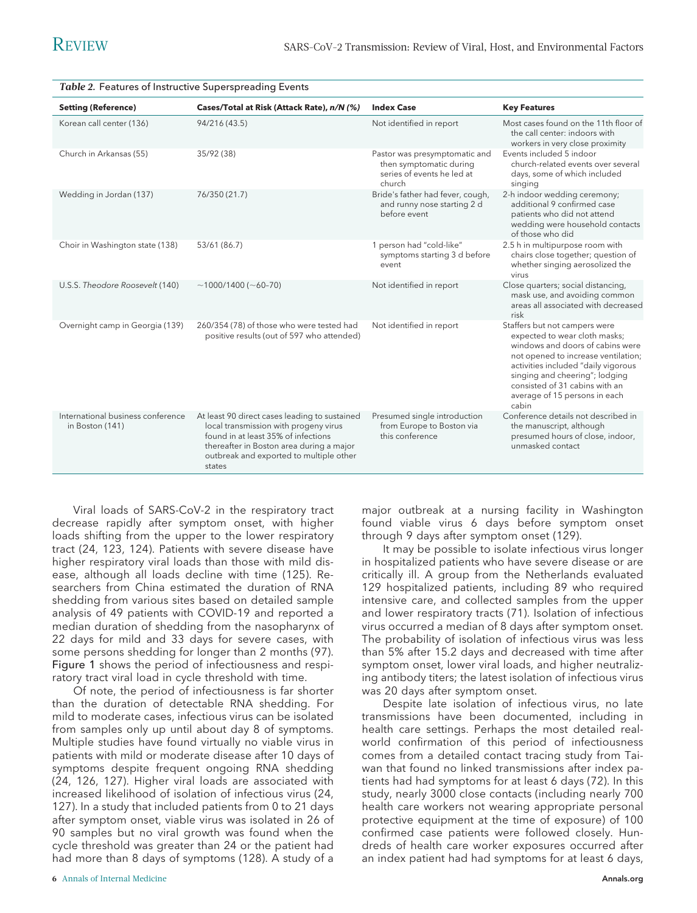| Table 2. Features of Instructive Superspreading Events |                                                                                                                                                                                                                                |                                                                                                  |                                                                                                                                                                                                                                                                                                |
|--------------------------------------------------------|--------------------------------------------------------------------------------------------------------------------------------------------------------------------------------------------------------------------------------|--------------------------------------------------------------------------------------------------|------------------------------------------------------------------------------------------------------------------------------------------------------------------------------------------------------------------------------------------------------------------------------------------------|
| <b>Setting (Reference)</b>                             | Cases/Total at Risk (Attack Rate), n/N (%)                                                                                                                                                                                     | <b>Index Case</b>                                                                                | <b>Key Features</b>                                                                                                                                                                                                                                                                            |
| Korean call center (136)                               | 94/216 (43.5)                                                                                                                                                                                                                  | Not identified in report                                                                         | Most cases found on the 11th floor of<br>the call center: indoors with<br>workers in very close proximity                                                                                                                                                                                      |
| Church in Arkansas (55)                                | 35/92 (38)                                                                                                                                                                                                                     | Pastor was presymptomatic and<br>then symptomatic during<br>series of events he led at<br>church | Events included 5 indoor<br>church-related events over several<br>days, some of which included<br>singing                                                                                                                                                                                      |
| Wedding in Jordan (137)                                | 76/350 (21.7)                                                                                                                                                                                                                  | Bride's father had fever, cough,<br>and runny nose starting 2 d<br>before event                  | 2-h indoor wedding ceremony;<br>additional 9 confirmed case<br>patients who did not attend<br>wedding were household contacts<br>of those who did                                                                                                                                              |
| Choir in Washington state (138)                        | 53/61 (86.7)                                                                                                                                                                                                                   | 1 person had "cold-like"<br>symptoms starting 3 d before<br>event                                | 2.5 h in multipurpose room with<br>chairs close together; question of<br>whether singing aerosolized the<br>virus                                                                                                                                                                              |
| U.S.S. Theodore Roosevelt (140)                        | $~1000/1400~(~60-70)$                                                                                                                                                                                                          | Not identified in report                                                                         | Close quarters; social distancing,<br>mask use, and avoiding common<br>areas all associated with decreased<br>risk                                                                                                                                                                             |
| Overnight camp in Georgia (139)                        | 260/354 (78) of those who were tested had<br>positive results (out of 597 who attended)                                                                                                                                        | Not identified in report                                                                         | Staffers but not campers were<br>expected to wear cloth masks;<br>windows and doors of cabins were<br>not opened to increase ventilation;<br>activities included "daily vigorous<br>singing and cheering"; lodging<br>consisted of 31 cabins with an<br>average of 15 persons in each<br>cabin |
| International business conference<br>in Boston (141)   | At least 90 direct cases leading to sustained<br>local transmission with progeny virus<br>found in at least 35% of infections<br>thereafter in Boston area during a major<br>outbreak and exported to multiple other<br>states | Presumed single introduction<br>from Europe to Boston via<br>this conference                     | Conference details not described in<br>the manuscript, although<br>presumed hours of close, indoor,<br>unmasked contact                                                                                                                                                                        |

Viral loads of SARS-CoV-2 in the respiratory tract decrease rapidly after symptom onset, with higher loads shifting from the upper to the lower respiratory tract (24, 123, 124). Patients with severe disease have higher respiratory viral loads than those with mild disease, although all loads decline with time (125). Researchers from China estimated the duration of RNA shedding from various sites based on detailed sample analysis of 49 patients with COVID-19 and reported a median duration of shedding from the nasopharynx of 22 days for mild and 33 days for severe cases, with some persons shedding for longer than 2 months (97). Figure 1 shows the period of infectiousness and respiratory tract viral load in cycle threshold with time.

Of note, the period of infectiousness is far shorter than the duration of detectable RNA shedding. For mild to moderate cases, infectious virus can be isolated from samples only up until about day 8 of symptoms. Multiple studies have found virtually no viable virus in patients with mild or moderate disease after 10 days of symptoms despite frequent ongoing RNA shedding (24, 126, 127). Higher viral loads are associated with increased likelihood of isolation of infectious virus (24, 127). In a study that included patients from 0 to 21 days after symptom onset, viable virus was isolated in 26 of 90 samples but no viral growth was found when the cycle threshold was greater than 24 or the patient had had more than 8 days of symptoms (128). A study of a

found viable virus 6 days before symptom onset through 9 days after symptom onset (129). It may be possible to isolate infectious virus longer

major outbreak at a nursing facility in Washington

in hospitalized patients who have severe disease or are critically ill. A group from the Netherlands evaluated 129 hospitalized patients, including 89 who required intensive care, and collected samples from the upper and lower respiratory tracts (71). Isolation of infectious virus occurred a median of 8 days after symptom onset. The probability of isolation of infectious virus was less than 5% after 15.2 days and decreased with time after symptom onset, lower viral loads, and higher neutralizing antibody titers; the latest isolation of infectious virus was 20 days after symptom onset.

Despite late isolation of infectious virus, no late transmissions have been documented, including in health care settings. Perhaps the most detailed realworld confirmation of this period of infectiousness comes from a detailed contact tracing study from Taiwan that found no linked transmissions after index patients had had symptoms for at least 6 days (72). In this study, nearly 3000 close contacts (including nearly 700 health care workers not wearing appropriate personal protective equipment at the time of exposure) of 100 confirmed case patients were followed closely. Hundreds of health care worker exposures occurred after an index patient had had symptoms for at least 6 days,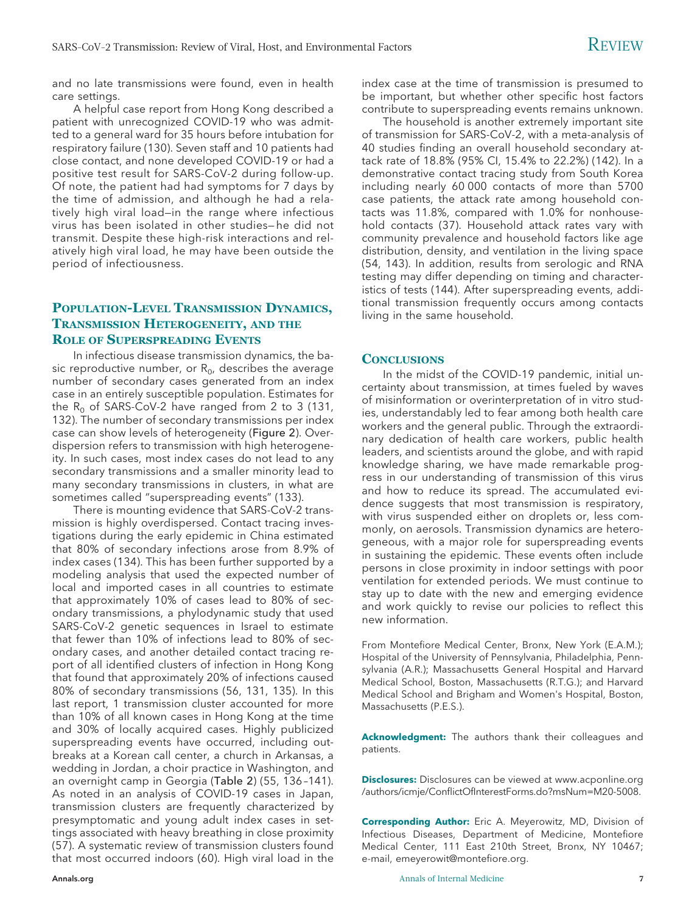and no late transmissions were found, even in health care settings.

A helpful case report from Hong Kong described a patient with unrecognized COVID-19 who was admitted to a general ward for 35 hours before intubation for respiratory failure (130). Seven staff and 10 patients had close contact, and none developed COVID-19 or had a positive test result for SARS-CoV-2 during follow-up. Of note, the patient had had symptoms for 7 days by the time of admission, and although he had a relatively high viral load—in the range where infectious virus has been isolated in other studies— he did not transmit. Despite these high-risk interactions and relatively high viral load, he may have been outside the period of infectiousness.

# **POPULATION-LEVEL TRANSMISSION DYNAMICS, TRANSMISSION HETEROGENEITY, AND THE ROLE OF SUPERSPREADING EVENTS**

In infectious disease transmission dynamics, the basic reproductive number, or  $R_0$ , describes the average number of secondary cases generated from an index case in an entirely susceptible population. Estimates for the  $R_0$  of SARS-CoV-2 have ranged from 2 to 3 (131, 132). The number of secondary transmissions per index case can show levels of heterogeneity (Figure 2). Overdispersion refers to transmission with high heterogeneity. In such cases, most index cases do not lead to any secondary transmissions and a smaller minority lead to many secondary transmissions in clusters, in what are sometimes called "superspreading events" (133).

There is mounting evidence that SARS-CoV-2 transmission is highly overdispersed. Contact tracing investigations during the early epidemic in China estimated that 80% of secondary infections arose from 8.9% of index cases (134). This has been further supported by a modeling analysis that used the expected number of local and imported cases in all countries to estimate that approximately 10% of cases lead to 80% of secondary transmissions, a phylodynamic study that used SARS-CoV-2 genetic sequences in Israel to estimate that fewer than 10% of infections lead to 80% of secondary cases, and another detailed contact tracing report of all identified clusters of infection in Hong Kong that found that approximately 20% of infections caused 80% of secondary transmissions (56, 131, 135). In this last report, 1 transmission cluster accounted for more than 10% of all known cases in Hong Kong at the time and 30% of locally acquired cases. Highly publicized superspreading events have occurred, including outbreaks at a Korean call center, a church in Arkansas, a wedding in Jordan, a choir practice in Washington, and an overnight camp in Georgia (Table 2) (55, 136 –141). As noted in an analysis of COVID-19 cases in Japan, transmission clusters are frequently characterized by presymptomatic and young adult index cases in settings associated with heavy breathing in close proximity (57). A systematic review of transmission clusters found that most occurred indoors (60). High viral load in the

index case at the time of transmission is presumed to be important, but whether other specific host factors contribute to superspreading events remains unknown.

The household is another extremely important site of transmission for SARS-CoV-2, with a meta-analysis of 40 studies finding an overall household secondary attack rate of 18.8% (95% CI, 15.4% to 22.2%) (142). In a demonstrative contact tracing study from South Korea including nearly 60 000 contacts of more than 5700 case patients, the attack rate among household contacts was 11.8%, compared with 1.0% for nonhousehold contacts (37). Household attack rates vary with community prevalence and household factors like age distribution, density, and ventilation in the living space (54, 143). In addition, results from serologic and RNA testing may differ depending on timing and characteristics of tests (144). After superspreading events, additional transmission frequently occurs among contacts living in the same household.

# **CONCLUSIONS**

In the midst of the COVID-19 pandemic, initial uncertainty about transmission, at times fueled by waves of misinformation or overinterpretation of in vitro studies, understandably led to fear among both health care workers and the general public. Through the extraordinary dedication of health care workers, public health leaders, and scientists around the globe, and with rapid knowledge sharing, we have made remarkable progress in our understanding of transmission of this virus and how to reduce its spread. The accumulated evidence suggests that most transmission is respiratory, with virus suspended either on droplets or, less commonly, on aerosols. Transmission dynamics are heterogeneous, with a major role for superspreading events in sustaining the epidemic. These events often include persons in close proximity in indoor settings with poor ventilation for extended periods. We must continue to stay up to date with the new and emerging evidence and work quickly to revise our policies to reflect this new information.

From Montefiore Medical Center, Bronx, New York (E.A.M.); Hospital of the University of Pennsylvania, Philadelphia, Pennsylvania (A.R.); Massachusetts General Hospital and Harvard Medical School, Boston, Massachusetts (R.T.G.); and Harvard Medical School and Brigham and Women's Hospital, Boston, Massachusetts (P.E.S.).

**Acknowledgment:** The authors thank their colleagues and patients.

**Disclosures:** Disclosures can be viewed at [www.acponline.org](http://www.acponline.org/authors/icmje/ConflictOfInterestForms.do?msNum=M20-5008) [/authors/icmje/ConflictOfInterestForms.do?msNum=M20-5008.](http://www.acponline.org/authors/icmje/ConflictOfInterestForms.do?msNum=M20-5008)

**Corresponding Author:** Eric A. Meyerowitz, MD, Division of Infectious Diseases, Department of Medicine, Montefiore Medical Center, 111 East 210th Street, Bronx, NY 10467; e-mail, [emeyerowit@montefiore.org.](mailto:emeyerowit@montefiore.org)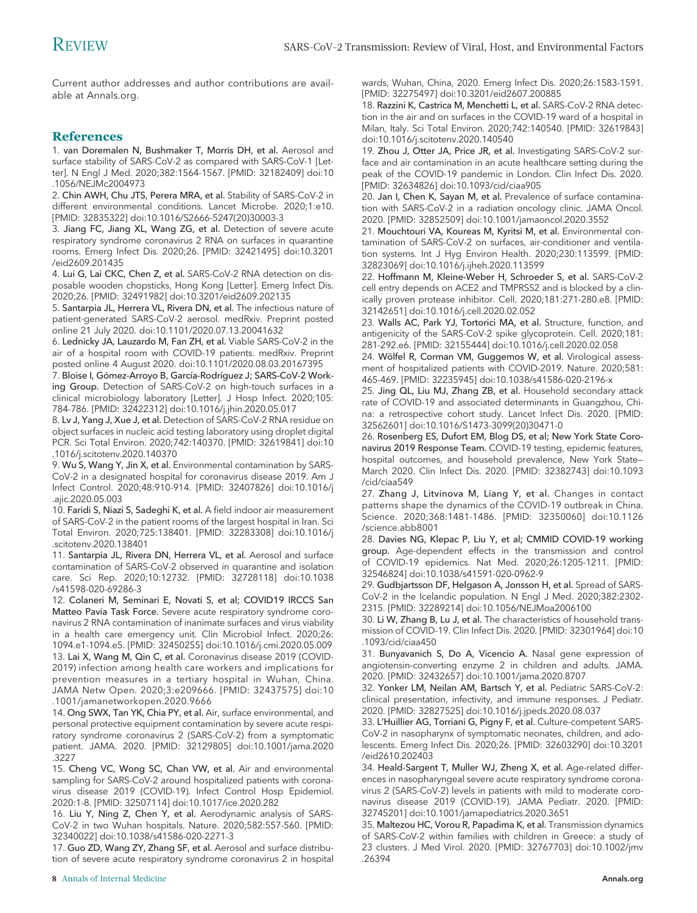Current author addresses and author contributions are available at [Annals.org.](http://www.annals.org)

# **References**

1. van Doremalen N, Bushmaker T, Morris DH, et al. Aerosol and surface stability of SARS-CoV-2 as compared with SARS-CoV-1 [Letter]. N Engl J Med. 2020;382:1564-1567. [PMID: 32182409] doi:10 .1056/NEJMc2004973

2. Chin AWH, Chu JTS, Perera MRA, et al. Stability of SARS-CoV-2 in different environmental conditions. Lancet Microbe. 2020;1:e10. [PMID: 32835322] doi:10.1016/S2666-5247(20)30003-3

3. Jiang FC, Jiang XL, Wang ZG, et al. Detection of severe acute respiratory syndrome coronavirus 2 RNA on surfaces in quarantine rooms. Emerg Infect Dis. 2020;26. [PMID: 32421495] doi:10.3201 /eid2609.201435

4. Lui G, Lai CKC, Chen Z, et al. SARS-CoV-2 RNA detection on disposable wooden chopsticks, Hong Kong [Letter]. Emerg Infect Dis. 2020;26. [PMID: 32491982] doi:10.3201/eid2609.202135

5. Santarpia JL, Herrera VL, Rivera DN, et al. The infectious nature of patient-generated SARS-CoV-2 aerosol. medRxiv. Preprint posted online 21 July 2020. doi:10.1101/2020.07.13.20041632

6. Lednicky JA, Lauzardo M, Fan ZH, et al. Viable SARS-CoV-2 in the air of a hospital room with COVID-19 patients. medRxiv. Preprint posted online 4 August 2020. doi:10.1101/2020.08.03.20167395

7. Bloise I, Gómez-Arroyo B, García-Rodríguez J; SARS-CoV-2 Working Group. Detection of SARS-CoV-2 on high-touch surfaces in a clinical microbiology laboratory [Letter]. J Hosp Infect. 2020;105: 784-786. [PMID: 32422312] doi:10.1016/j.jhin.2020.05.017

8. Lv J, Yang J, Xue J, et al. Detection of SARS-CoV-2 RNA residue on object surfaces in nucleic acid testing laboratory using droplet digital PCR. Sci Total Environ. 2020;742:140370. [PMID: 32619841] doi:10 .1016/j.scitotenv.2020.140370

9. Wu S, Wang Y, Jin X, et al. Environmental contamination by SARS-CoV-2 in a designated hospital for coronavirus disease 2019. Am J Infect Control. 2020;48:910-914. [PMID: 32407826] doi:10.1016/j .ajic.2020.05.003

10. Faridi S, Niazi S, Sadeghi K, et al. A field indoor air measurement of SARS-CoV-2 in the patient rooms of the largest hospital in Iran. Sci Total Environ. 2020;725:138401. [PMID: 32283308] doi:10.1016/j .scitotenv.2020.138401

11. Santarpia JL, Rivera DN, Herrera VL, et al. Aerosol and surface contamination of SARS-CoV-2 observed in quarantine and isolation care. Sci Rep. 2020;10:12732. [PMID: 32728118] doi:10.1038 /s41598-020-69286-3

12. Colaneri M, Seminari E, Novati S, et al; COVID19 IRCCS San Matteo Pavia Task Force. Severe acute respiratory syndrome coronavirus 2 RNA contamination of inanimate surfaces and virus viability in a health care emergency unit. Clin Microbiol Infect. 2020;26: 1094.e1-1094.e5. [PMID: 32450255] doi:10.1016/j.cmi.2020.05.009 13. Lai X, Wang M, Qin C, et al. Coronavirus disease 2019 (COVID-2019) infection among health care workers and implications for prevention measures in a tertiary hospital in Wuhan, China. JAMA Netw Open. 2020;3:e209666. [PMID: 32437575] doi:10 .1001/jamanetworkopen.2020.9666

14. Ong SWX, Tan YK, Chia PY, et al. Air, surface environmental, and personal protective equipment contamination by severe acute respiratory syndrome coronavirus 2 (SARS-CoV-2) from a symptomatic patient. JAMA. 2020. [PMID: 32129805] doi:10.1001/jama.2020 .3227

15. Cheng VC, Wong SC, Chan VW, et al. Air and environmental sampling for SARS-CoV-2 around hospitalized patients with coronavirus disease 2019 (COVID-19). Infect Control Hosp Epidemiol. 2020:1-8. [PMID: 32507114] doi:10.1017/ice.2020.282

16. Liu Y, Ning Z, Chen Y, et al. Aerodynamic analysis of SARS-CoV-2 in two Wuhan hospitals. Nature. 2020;582:557-560. [PMID: 32340022] doi:10.1038/s41586-020-2271-3

17. Guo ZD, Wang ZY, Zhang SF, et al. Aerosol and surface distribution of severe acute respiratory syndrome coronavirus 2 in hospital wards, Wuhan, China, 2020. Emerg Infect Dis. 2020;26:1583-1591. [PMID: 32275497] doi:10.3201/eid2607.200885

18. Razzini K, Castrica M, Menchetti L, et al. SARS-CoV-2 RNA detection in the air and on surfaces in the COVID-19 ward of a hospital in Milan, Italy. Sci Total Environ. 2020;742:140540. [PMID: 32619843] doi:10.1016/j.scitotenv.2020.140540

19. Zhou J, Otter JA, Price JR, et al. Investigating SARS-CoV-2 surface and air contamination in an acute healthcare setting during the peak of the COVID-19 pandemic in London. Clin Infect Dis. 2020. [PMID: 32634826] doi:10.1093/cid/ciaa905

20. Jan I, Chen K, Sayan M, et al. Prevalence of surface contamination with SARS-CoV-2 in a radiation oncology clinic. JAMA Oncol. 2020. [PMID: 32852509] doi:10.1001/jamaoncol.2020.3552

21. Mouchtouri VA, Koureas M, Kyritsi M, et al. Environmental contamination of SARS-CoV-2 on surfaces, air-conditioner and ventilation systems. Int J Hyg Environ Health. 2020;230:113599. [PMID: 32823069] doi:10.1016/j.ijheh.2020.113599

22. Hoffmann M, Kleine-Weber H, Schroeder S, et al. SARS-CoV-2 cell entry depends on ACE2 and TMPRSS2 and is blocked by a clinically proven protease inhibitor. Cell. 2020;181:271-280.e8. [PMID: 32142651] doi:10.1016/j.cell.2020.02.052

23. Walls AC, Park YJ, Tortorici MA, et al. Structure, function, and antigenicity of the SARS-CoV-2 spike glycoprotein. Cell. 2020;181: 281-292.e6. [PMID: 32155444] doi:10.1016/j.cell.2020.02.058

24. Wölfel R, Corman VM, Guggemos W, et al. Virological assessment of hospitalized patients with COVID-2019. Nature. 2020;581: 465-469. [PMID: 32235945] doi:10.1038/s41586-020-2196-x

25. Jing QL, Liu MJ, Zhang ZB, et al. Household secondary attack rate of COVID-19 and associated determinants in Guangzhou, China: a retrospective cohort study. Lancet Infect Dis. 2020. [PMID: 32562601] doi:10.1016/S1473-3099(20)30471-0

26. Rosenberg ES, Dufort EM, Blog DS, et al; New York State Coronavirus 2019 Response Team. COVID-19 testing, epidemic features, hospital outcomes, and household prevalence, New York State— March 2020. Clin Infect Dis. 2020. [PMID: 32382743] doi:10.1093 /cid/ciaa549

27. Zhang J, Litvinova M, Liang Y, et al. Changes in contact patterns shape the dynamics of the COVID-19 outbreak in China. Science. 2020;368:1481-1486. [PMID: 32350060] doi:10.1126 /science.abb8001

28. Davies NG, Klepac P, Liu Y, et al; CMMID COVID-19 working group. Age-dependent effects in the transmission and control of COVID-19 epidemics. Nat Med. 2020;26:1205-1211. [PMID: 32546824] doi:10.1038/s41591-020-0962-9

29. Gudbjartsson DF, Helgason A, Jonsson H, et al. Spread of SARS-CoV-2 in the Icelandic population. N Engl J Med. 2020;382:2302- 2315. [PMID: 32289214] doi:10.1056/NEJMoa2006100

30. Li W, Zhang B, Lu J, et al. The characteristics of household transmission of COVID-19. Clin Infect Dis. 2020. [PMID: 32301964] doi:10 .1093/cid/ciaa450

31. Bunyavanich S, Do A, Vicencio A. Nasal gene expression of angiotensin-converting enzyme 2 in children and adults. JAMA. 2020. [PMID: 32432657] doi:10.1001/jama.2020.8707

32. Yonker LM, Neilan AM, Bartsch Y, et al. Pediatric SARS-CoV-2: clinical presentation, infectivity, and immune responses. J Pediatr. 2020. [PMID: 32827525] doi:10.1016/j.jpeds.2020.08.037

33. L'Huillier AG, Torriani G, Pigny F, et al. Culture-competent SARS-CoV-2 in nasopharynx of symptomatic neonates, children, and adolescents. Emerg Infect Dis. 2020;26. [PMID: 32603290] doi:10.3201 /eid2610.202403

34. Heald-Sargent T, Muller WJ, Zheng X, et al. Age-related differences in nasopharyngeal severe acute respiratory syndrome coronavirus 2 (SARS-CoV-2) levels in patients with mild to moderate coronavirus disease 2019 (COVID-19). JAMA Pediatr. 2020. [PMID: 32745201] doi:10.1001/jamapediatrics.2020.3651

35. Maltezou HC, Vorou R, Papadima K, et al. Transmission dynamics of SARS-CoV-2 within families with children in Greece: a study of 23 clusters. J Med Virol. 2020. [PMID: 32767703] doi:10.1002/jmv .26394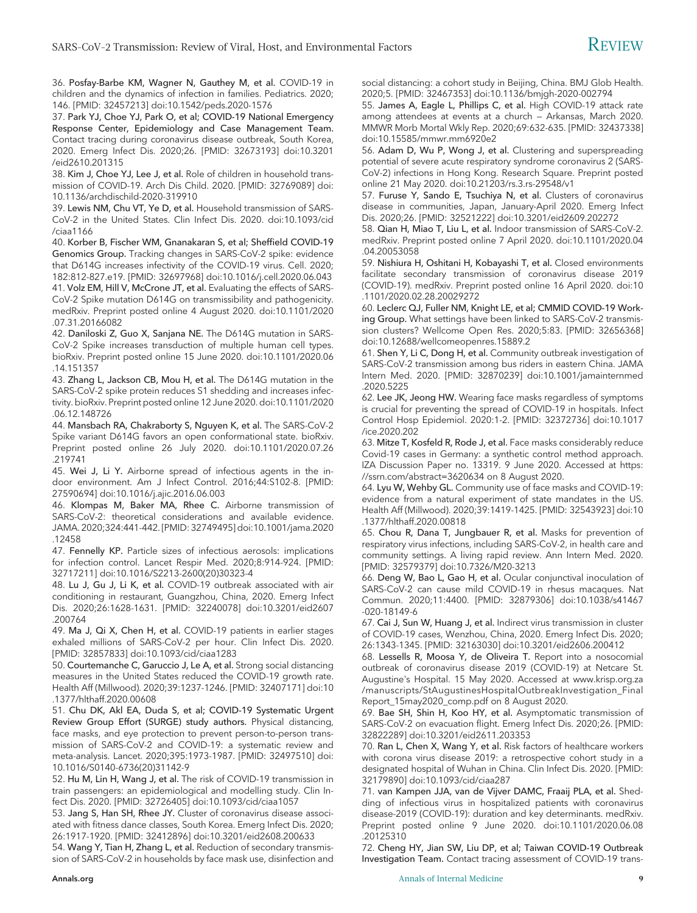36. Posfay-Barbe KM, Wagner N, Gauthey M, et al. COVID-19 in children and the dynamics of infection in families. Pediatrics. 2020; 146. [PMID: 32457213] doi:10.1542/peds.2020-1576

37. Park YJ, Choe YJ, Park O, et al; COVID-19 National Emergency Response Center, Epidemiology and Case Management Team. Contact tracing during coronavirus disease outbreak, South Korea, 2020. Emerg Infect Dis. 2020;26. [PMID: 32673193] doi:10.3201 /eid2610.201315

38. Kim J, Choe YJ, Lee J, et al. Role of children in household transmission of COVID-19. Arch Dis Child. 2020. [PMID: 32769089] doi: 10.1136/archdischild-2020-319910

39. Lewis NM, Chu VT, Ye D, et al. Household transmission of SARS-CoV-2 in the United States. Clin Infect Dis. 2020. doi:10.1093/cid /ciaa1166

40. Korber B, Fischer WM, Gnanakaran S, et al; Sheffield COVID-19 Genomics Group. Tracking changes in SARS-CoV-2 spike: evidence that D614G increases infectivity of the COVID-19 virus. Cell. 2020; 182:812-827.e19. [PMID: 32697968] doi:10.1016/j.cell.2020.06.043 41. Volz EM, Hill V, McCrone JT, et al. Evaluating the effects of SARS-CoV-2 Spike mutation D614G on transmissibility and pathogenicity. medRxiv. Preprint posted online 4 August 2020. doi:10.1101/2020 .07.31.20166082

42. Daniloski Z, Guo X, Sanjana NE. The D614G mutation in SARS-CoV-2 Spike increases transduction of multiple human cell types. bioRxiv. Preprint posted online 15 June 2020. doi:10.1101/2020.06 .14.151357

43. Zhang L, Jackson CB, Mou H, et al. The D614G mutation in the SARS-CoV-2 spike protein reduces S1 shedding and increases infectivity. bioRxiv. Preprint posted online 12 June 2020. doi:10.1101/2020 .06.12.148726

44. Mansbach RA, Chakraborty S, Nguyen K, et al. The SARS-CoV-2 Spike variant D614G favors an open conformational state. bioRxiv. Preprint posted online 26 July 2020. doi:10.1101/2020.07.26 .219741

45. Wei J, Li Y. Airborne spread of infectious agents in the indoor environment. Am J Infect Control. 2016;44:S102-8. [PMID: 27590694] doi:10.1016/j.ajic.2016.06.003

46. Klompas M, Baker MA, Rhee C. Airborne transmission of SARS-CoV-2: theoretical considerations and available evidence. JAMA. 2020;324:441-442. [PMID: 32749495] doi:10.1001/jama.2020 .12458

47. Fennelly KP. Particle sizes of infectious aerosols: implications for infection control. Lancet Respir Med. 2020;8:914-924. [PMID: 32717211] doi:10.1016/S2213-2600(20)30323-4

48. Lu J, Gu J, Li K, et al. COVID-19 outbreak associated with air conditioning in restaurant, Guangzhou, China, 2020. Emerg Infect Dis. 2020;26:1628-1631. [PMID: 32240078] doi:10.3201/eid2607 .200764

49. Ma J, Qi X, Chen H, et al. COVID-19 patients in earlier stages exhaled millions of SARS-CoV-2 per hour. Clin Infect Dis. 2020. [PMID: 32857833] doi:10.1093/cid/ciaa1283

50. Courtemanche C, Garuccio J, Le A, et al. Strong social distancing measures in the United States reduced the COVID-19 growth rate. Health Aff (Millwood). 2020;39:1237-1246. [PMID: 32407171] doi:10 .1377/hlthaff.2020.00608

51. Chu DK, Akl EA, Duda S, et al; COVID-19 Systematic Urgent Review Group Effort (SURGE) study authors. Physical distancing, face masks, and eye protection to prevent person-to-person transmission of SARS-CoV-2 and COVID-19: a systematic review and meta-analysis. Lancet. 2020;395:1973-1987. [PMID: 32497510] doi: 10.1016/S0140-6736(20)31142-9

52. Hu M, Lin H, Wang J, et al. The risk of COVID-19 transmission in train passengers: an epidemiological and modelling study. Clin Infect Dis. 2020. [PMID: 32726405] doi:10.1093/cid/ciaa1057

53. Jang S, Han SH, Rhee JY. Cluster of coronavirus disease associated with fitness dance classes, South Korea. Emerg Infect Dis. 2020; 26:1917-1920. [PMID: 32412896] doi:10.3201/eid2608.200633

54. Wang Y, Tian H, Zhang L, et al. Reduction of secondary transmission of SARS-CoV-2 in households by face mask use, disinfection and social distancing: a cohort study in Beijing, China. BMJ Glob Health. 2020;5. [PMID: 32467353] doi:10.1136/bmjgh-2020-002794

55. James A, Eagle L, Phillips C, et al. High COVID-19 attack rate among attendees at events at a church — Arkansas, March 2020. MMWR Morb Mortal Wkly Rep. 2020;69:632-635. [PMID: 32437338] doi:10.15585/mmwr.mm6920e2

56. Adam D, Wu P, Wong J, et al. Clustering and superspreading potential of severe acute respiratory syndrome coronavirus 2 (SARS-CoV-2) infections in Hong Kong. Research Square. Preprint posted online 21 May 2020. doi:10.21203/rs.3.rs-29548/v1

57. Furuse Y, Sando E, Tsuchiya N, et al. Clusters of coronavirus disease in communities, Japan, January-April 2020. Emerg Infect Dis. 2020;26. [PMID: 32521222] doi:10.3201/eid2609.202272

58. Qian H, Miao T, Liu L, et al. Indoor transmission of SARS-CoV-2. medRxiv. Preprint posted online 7 April 2020. doi:10.1101/2020.04 .04.20053058

59. Nishiura H, Oshitani H, Kobayashi T, et al. Closed environments facilitate secondary transmission of coronavirus disease 2019 (COVID-19). medRxiv. Preprint posted online 16 April 2020. doi:10 .1101/2020.02.28.20029272

60. Leclerc QJ, Fuller NM, Knight LE, et al; CMMID COVID-19 Working Group. What settings have been linked to SARS-CoV-2 transmission clusters? Wellcome Open Res. 2020;5:83. [PMID: 32656368] doi:10.12688/wellcomeopenres.15889.2

61. Shen Y, Li C, Dong H, et al. Community outbreak investigation of SARS-CoV-2 transmission among bus riders in eastern China. JAMA Intern Med. 2020. [PMID: 32870239] doi:10.1001/jamainternmed .2020.5225

62. Lee JK, Jeong HW. Wearing face masks regardless of symptoms is crucial for preventing the spread of COVID-19 in hospitals. Infect Control Hosp Epidemiol. 2020:1-2. [PMID: 32372736] doi:10.1017 /ice.2020.202

63. Mitze T, Kosfeld R, Rode J, et al. Face masks considerably reduce Covid-19 cases in Germany: a synthetic control method approach. IZA Discussion Paper no. 13319. 9 June 2020. Accessed at [https:](https://ssrn.com/abstract=3620634) [//ssrn.com/abstract=3620634](https://ssrn.com/abstract=3620634) on 8 August 2020.

64. Lyu W, Wehby GL. Community use of face masks and COVID-19: evidence from a natural experiment of state mandates in the US. Health Aff (Millwood). 2020;39:1419-1425. [PMID: 32543923] doi:10 .1377/hlthaff.2020.00818

65. Chou R, Dana T, Jungbauer R, et al. Masks for prevention of respiratory virus infections, including SARS-CoV-2, in health care and community settings. A living rapid review. Ann Intern Med. 2020. [PMID: 32579379] doi:10.7326/M20-3213

66. Deng W, Bao L, Gao H, et al. Ocular conjunctival inoculation of SARS-CoV-2 can cause mild COVID-19 in rhesus macaques. Nat Commun. 2020;11:4400. [PMID: 32879306] doi:10.1038/s41467 -020-18149-6

67. Cai J, Sun W, Huang J, et al. Indirect virus transmission in cluster of COVID-19 cases, Wenzhou, China, 2020. Emerg Infect Dis. 2020; 26:1343-1345. [PMID: 32163030] doi:10.3201/eid2606.200412

68. Lessells R, Moosa Y, de Oliveira T. Report into a nosocomial outbreak of coronavirus disease 2019 (COVID-19) at Netcare St. Augustine's Hospital. 15 May 2020. Accessed at [www.krisp.org.za](http://www.krisp.org.za/manuscripts/StAugustinesHospitalOutbreakInvestigation_FinalReport_15may2020_comp.pdf) [/manuscripts/StAugustinesHospitalOutbreakInvestigation\\_Final](http://www.krisp.org.za/manuscripts/StAugustinesHospitalOutbreakInvestigation_FinalReport_15may2020_comp.pdf) [Report\\_15may2020\\_comp.pdf](http://www.krisp.org.za/manuscripts/StAugustinesHospitalOutbreakInvestigation_FinalReport_15may2020_comp.pdf) on 8 August 2020.

69. Bae SH, Shin H, Koo HY, et al. Asymptomatic transmission of SARS-CoV-2 on evacuation flight. Emerg Infect Dis. 2020;26. [PMID: 32822289] doi:10.3201/eid2611.203353

70. Ran L, Chen X, Wang Y, et al. Risk factors of healthcare workers with corona virus disease 2019: a retrospective cohort study in a designated hospital of Wuhan in China. Clin Infect Dis. 2020. [PMID: 32179890] doi:10.1093/cid/ciaa287

71. van Kampen JJA, van de Vijver DAMC, Fraaij PLA, et al. Shedding of infectious virus in hospitalized patients with coronavirus disease-2019 (COVID-19): duration and key determinants. medRxiv. Preprint posted online 9 June 2020. doi:10.1101/2020.06.08 .20125310

72. Cheng HY, Jian SW, Liu DP, et al; Taiwan COVID-19 Outbreak Investigation Team. Contact tracing assessment of COVID-19 trans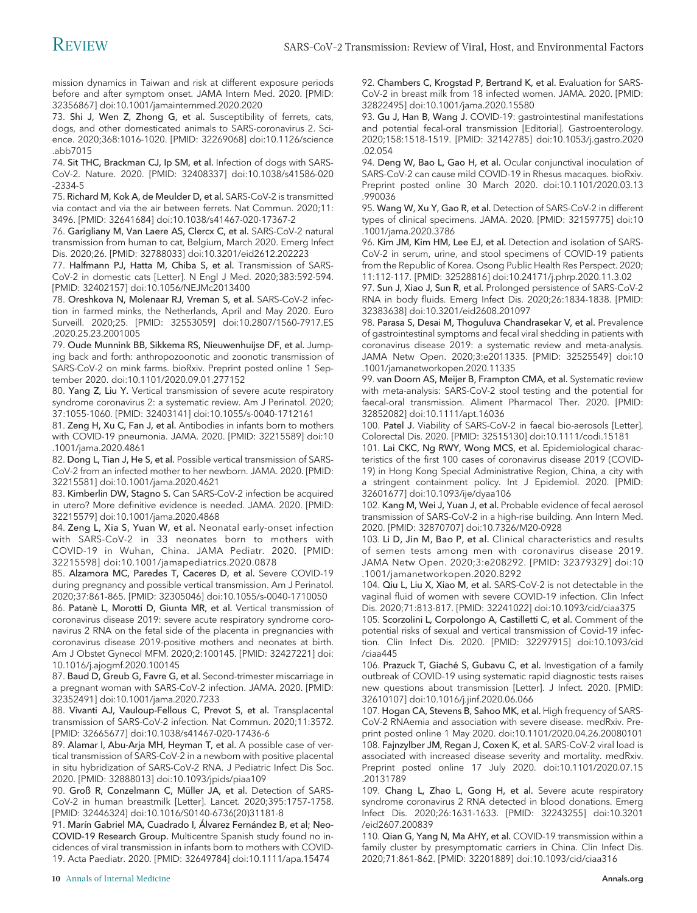mission dynamics in Taiwan and risk at different exposure periods before and after symptom onset. JAMA Intern Med. 2020. [PMID: 32356867] doi:10.1001/jamainternmed.2020.2020

73. Shi J, Wen Z, Zhong G, et al. Susceptibility of ferrets, cats, dogs, and other domesticated animals to SARS-coronavirus 2. Science. 2020;368:1016-1020. [PMID: 32269068] doi:10.1126/science .abb7015

74. Sit THC, Brackman CJ, Ip SM, et al. Infection of dogs with SARS-CoV-2. Nature. 2020. [PMID: 32408337] doi:10.1038/s41586-020 -2334-5

75. Richard M, Kok A, de Meulder D, et al. SARS-CoV-2 is transmitted via contact and via the air between ferrets. Nat Commun. 2020;11: 3496. [PMID: 32641684] doi:10.1038/s41467-020-17367-2

76. Garigliany M, Van Laere AS, Clercx C, et al. SARS-CoV-2 natural transmission from human to cat, Belgium, March 2020. Emerg Infect Dis. 2020;26. [PMID: 32788033] doi:10.3201/eid2612.202223

77. Halfmann PJ, Hatta M, Chiba S, et al. Transmission of SARS-CoV-2 in domestic cats [Letter]. N Engl J Med. 2020;383:592-594. [PMID: 32402157] doi:10.1056/NEJMc2013400

78. Oreshkova N, Molenaar RJ, Vreman S, et al. SARS-CoV-2 infection in farmed minks, the Netherlands, April and May 2020. Euro Surveill. 2020;25. [PMID: 32553059] doi:10.2807/1560-7917.ES .2020.25.23.2001005

79. Oude Munnink BB, Sikkema RS, Nieuwenhuijse DF, et al. Jumping back and forth: anthropozoonotic and zoonotic transmission of SARS-CoV-2 on mink farms. bioRxiv. Preprint posted online 1 September 2020. doi:10.1101/2020.09.01.277152

80. Yang Z, Liu Y. Vertical transmission of severe acute respiratory syndrome coronavirus 2: a systematic review. Am J Perinatol. 2020; 37:1055-1060. [PMID: 32403141] doi:10.1055/s-0040-1712161

81. Zeng H, Xu C, Fan J, et al. Antibodies in infants born to mothers with COVID-19 pneumonia. JAMA. 2020. [PMID: 32215589] doi:10 .1001/jama.2020.4861

82. Dong L, Tian J, He S, et al. Possible vertical transmission of SARS-CoV-2 from an infected mother to her newborn. JAMA. 2020. [PMID: 32215581] doi:10.1001/jama.2020.4621

83. Kimberlin DW, Stagno S. Can SARS-CoV-2 infection be acquired in utero? More definitive evidence is needed. JAMA. 2020. [PMID: 32215579] doi:10.1001/jama.2020.4868

84. Zeng L, Xia S, Yuan W, et al. Neonatal early-onset infection with SARS-CoV-2 in 33 neonates born to mothers with COVID-19 in Wuhan, China. JAMA Pediatr. 2020. [PMID: 32215598] doi:10.1001/jamapediatrics.2020.0878

85. Alzamora MC, Paredes T, Caceres D, et al. Severe COVID-19 during pregnancy and possible vertical transmission. Am J Perinatol. 2020;37:861-865. [PMID: 32305046] doi:10.1055/s-0040-1710050

86. Patanè L, Morotti D, Giunta MR, et al. Vertical transmission of coronavirus disease 2019: severe acute respiratory syndrome coronavirus 2 RNA on the fetal side of the placenta in pregnancies with coronavirus disease 2019-positive mothers and neonates at birth. Am J Obstet Gynecol MFM. 2020;2:100145. [PMID: 32427221] doi: 10.1016/j.ajogmf.2020.100145

87. Baud D, Greub G, Favre G, et al. Second-trimester miscarriage in a pregnant woman with SARS-CoV-2 infection. JAMA. 2020. [PMID: 32352491] doi:10.1001/jama.2020.7233

88. Vivanti AJ, Vauloup-Fellous C, Prevot S, et al. Transplacental transmission of SARS-CoV-2 infection. Nat Commun. 2020;11:3572. [PMID: 32665677] doi:10.1038/s41467-020-17436-6

89. Alamar I, Abu-Arja MH, Heyman T, et al. A possible case of vertical transmission of SARS-CoV-2 in a newborn with positive placental in situ hybridization of SARS-CoV-2 RNA. J Pediatric Infect Dis Soc. 2020. [PMID: 32888013] doi:10.1093/jpids/piaa109

90. Groß R, Conzelmann C, Müller JA, et al. Detection of SARS-CoV-2 in human breastmilk [Letter]. Lancet. 2020;395:1757-1758. [PMID: 32446324] doi:10.1016/S0140-6736(20)31181-8

91. Marín Gabriel MA, Cuadrado I, Álvarez Fernández B, et al; Neo-COVID-19 Research Group. Multicentre Spanish study found no incidences of viral transmission in infants born to mothers with COVID-19. Acta Paediatr. 2020. [PMID: 32649784] doi:10.1111/apa.15474

92. Chambers C, Krogstad P, Bertrand K, et al. Evaluation for SARS-CoV-2 in breast milk from 18 infected women. JAMA. 2020. [PMID: 32822495] doi:10.1001/jama.2020.15580

93. Gu J, Han B, Wang J. COVID-19: gastrointestinal manifestations and potential fecal-oral transmission [Editorial]. Gastroenterology. 2020;158:1518-1519. [PMID: 32142785] doi:10.1053/j.gastro.2020 .02.054

94. Deng W, Bao L, Gao H, et al. Ocular conjunctival inoculation of SARS-CoV-2 can cause mild COVID-19 in Rhesus macaques. bioRxiv. Preprint posted online 30 March 2020. doi:10.1101/2020.03.13 .990036

95. Wang W, Xu Y, Gao R, et al. Detection of SARS-CoV-2 in different types of clinical specimens. JAMA. 2020. [PMID: 32159775] doi:10 .1001/jama.2020.3786

96. Kim JM, Kim HM, Lee EJ, et al. Detection and isolation of SARS-CoV-2 in serum, urine, and stool specimens of COVID-19 patients from the Republic of Korea. Osong Public Health Res Perspect. 2020; 11:112-117. [PMID: 32528816] doi:10.24171/j.phrp.2020.11.3.02

97. Sun J, Xiao J, Sun R, et al. Prolonged persistence of SARS-CoV-2 RNA in body fluids. Emerg Infect Dis. 2020;26:1834-1838. [PMID: 32383638] doi:10.3201/eid2608.201097

98. Parasa S, Desai M, Thoguluva Chandrasekar V, et al. Prevalence of gastrointestinal symptoms and fecal viral shedding in patients with coronavirus disease 2019: a systematic review and meta-analysis. JAMA Netw Open. 2020;3:e2011335. [PMID: 32525549] doi:10 .1001/jamanetworkopen.2020.11335

99. van Doorn AS, Meijer B, Frampton CMA, et al. Systematic review with meta-analysis: SARS-CoV-2 stool testing and the potential for faecal-oral transmission. Aliment Pharmacol Ther. 2020. [PMID: 32852082] doi:10.1111/apt.16036

100. Patel J. Viability of SARS-CoV-2 in faecal bio-aerosols [Letter]. Colorectal Dis. 2020. [PMID: 32515130] doi:10.1111/codi.15181

101. Lai CKC, Ng RWY, Wong MCS, et al. Epidemiological characteristics of the first 100 cases of coronavirus disease 2019 (COVID-19) in Hong Kong Special Administrative Region, China, a city with a stringent containment policy. Int J Epidemiol. 2020. [PMID:

32601677] doi:10.1093/ije/dyaa106 102. Kang M, Wei J, Yuan J, et al. Probable evidence of fecal aerosol transmission of SARS-CoV-2 in a high-rise building. Ann Intern Med. 2020. [PMID: 32870707] doi:10.7326/M20-0928

103. Li D, Jin M, Bao P, et al. Clinical characteristics and results of semen tests among men with coronavirus disease 2019. JAMA Netw Open. 2020;3:e208292. [PMID: 32379329] doi:10 .1001/jamanetworkopen.2020.8292

104. Qiu L, Liu X, Xiao M, et al. SARS-CoV-2 is not detectable in the vaginal fluid of women with severe COVID-19 infection. Clin Infect Dis. 2020;71:813-817. [PMID: 32241022] doi:10.1093/cid/ciaa375

105. Scorzolini L, Corpolongo A, Castilletti C, et al. Comment of the potential risks of sexual and vertical transmission of Covid-19 infection. Clin Infect Dis. 2020. [PMID: 32297915] doi:10.1093/cid /ciaa445

106. Prazuck T, Giaché S, Gubavu C, et al. Investigation of a family outbreak of COVID-19 using systematic rapid diagnostic tests raises new questions about transmission [Letter]. J Infect. 2020. [PMID: 32610107] doi:10.1016/j.jinf.2020.06.066

107. Hogan CA, Stevens B, Sahoo MK, et al. High frequency of SARS-CoV-2 RNAemia and association with severe disease. medRxiv. Preprint posted online 1 May 2020. doi:10.1101/2020.04.26.20080101 108. Fajnzylber JM, Regan J, Coxen K, et al. SARS-CoV-2 viral load is associated with increased disease severity and mortality. medRxiv. Preprint posted online 17 July 2020. doi:10.1101/2020.07.15 .20131789

109. Chang L, Zhao L, Gong H, et al. Severe acute respiratory syndrome coronavirus 2 RNA detected in blood donations. Emerg Infect Dis. 2020;26:1631-1633. [PMID: 32243255] doi:10.3201 /eid2607.200839

110. Qian G, Yang N, Ma AHY, et al. COVID-19 transmission within a family cluster by presymptomatic carriers in China. Clin Infect Dis. 2020;71:861-862. [PMID: 32201889] doi:10.1093/cid/ciaa316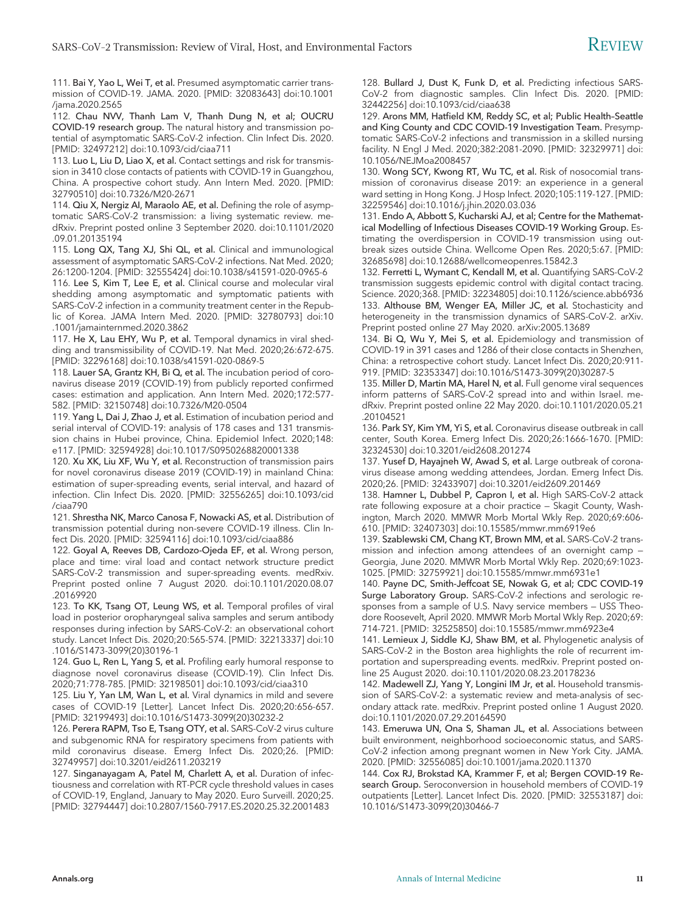111. Bai Y, Yao L, Wei T, et al. Presumed asymptomatic carrier transmission of COVID-19. JAMA. 2020. [PMID: 32083643] doi:10.1001 /jama.2020.2565

112. Chau NVV, Thanh Lam V, Thanh Dung N, et al; OUCRU COVID-19 research group. The natural history and transmission potential of asymptomatic SARS-CoV-2 infection. Clin Infect Dis. 2020. [PMID: 32497212] doi:10.1093/cid/ciaa711

113. Luo L, Liu D, Liao X, et al. Contact settings and risk for transmission in 3410 close contacts of patients with COVID-19 in Guangzhou, China. A prospective cohort study. Ann Intern Med. 2020. [PMID: 32790510] doi:10.7326/M20-2671

114. Qiu X, Nergiz AI, Maraolo AE, et al. Defining the role of asymptomatic SARS-CoV-2 transmission: a living systematic review. medRxiv. Preprint posted online 3 September 2020. doi:10.1101/2020 .09.01.20135194

115. Long QX, Tang XJ, Shi QL, et al. Clinical and immunological assessment of asymptomatic SARS-CoV-2 infections. Nat Med. 2020; 26:1200-1204. [PMID: 32555424] doi:10.1038/s41591-020-0965-6

116. Lee S, Kim T, Lee E, et al. Clinical course and molecular viral shedding among asymptomatic and symptomatic patients with SARS-CoV-2 infection in a community treatment center in the Republic of Korea. JAMA Intern Med. 2020. [PMID: 32780793] doi:10 .1001/jamainternmed.2020.3862

117. He X, Lau EHY, Wu P, et al. Temporal dynamics in viral shedding and transmissibility of COVID-19. Nat Med. 2020;26:672-675. [PMID: 32296168] doi:10.1038/s41591-020-0869-5

118. Lauer SA, Grantz KH, Bi Q, et al. The incubation period of coronavirus disease 2019 (COVID-19) from publicly reported confirmed cases: estimation and application. Ann Intern Med. 2020;172:577- 582. [PMID: 32150748] doi:10.7326/M20-0504

119. Yang L, Dai J, Zhao J, et al. Estimation of incubation period and serial interval of COVID-19: analysis of 178 cases and 131 transmission chains in Hubei province, China. Epidemiol Infect. 2020;148: e117. [PMID: 32594928] doi:10.1017/S0950268820001338

120. Xu XK, Liu XF, Wu Y, et al. Reconstruction of transmission pairs for novel coronavirus disease 2019 (COVID-19) in mainland China: estimation of super-spreading events, serial interval, and hazard of infection. Clin Infect Dis. 2020. [PMID: 32556265] doi:10.1093/cid /ciaa790

121. Shrestha NK, Marco Canosa F, Nowacki AS, et al. Distribution of transmission potential during non-severe COVID-19 illness. Clin Infect Dis. 2020. [PMID: 32594116] doi:10.1093/cid/ciaa886

122. Goyal A, Reeves DB, Cardozo-Ojeda EF, et al. Wrong person, place and time: viral load and contact network structure predict SARS-CoV-2 transmission and super-spreading events. medRxiv. Preprint posted online 7 August 2020. doi:10.1101/2020.08.07 .20169920

123. To KK, Tsang OT, Leung WS, et al. Temporal profiles of viral load in posterior oropharyngeal saliva samples and serum antibody responses during infection by SARS-CoV-2: an observational cohort study. Lancet Infect Dis. 2020;20:565-574. [PMID: 32213337] doi:10 .1016/S1473-3099(20)30196-1

124. Guo L, Ren L, Yang S, et al. Profiling early humoral response to diagnose novel coronavirus disease (COVID-19). Clin Infect Dis. 2020;71:778-785. [PMID: 32198501] doi:10.1093/cid/ciaa310

125. Liu Y, Yan LM, Wan L, et al. Viral dynamics in mild and severe cases of COVID-19 [Letter]. Lancet Infect Dis. 2020;20:656-657. [PMID: 32199493] doi:10.1016/S1473-3099(20)30232-2

126. Perera RAPM, Tso E, Tsang OTY, et al. SARS-CoV-2 virus culture and subgenomic RNA for respiratory specimens from patients with mild coronavirus disease. Emerg Infect Dis. 2020;26. [PMID: 32749957] doi:10.3201/eid2611.203219

127. Singanayagam A, Patel M, Charlett A, et al. Duration of infectiousness and correlation with RT-PCR cycle threshold values in cases of COVID-19, England, January to May 2020. Euro Surveill. 2020;25. [PMID: 32794447] doi:10.2807/1560-7917.ES.2020.25.32.2001483

128. Bullard J, Dust K, Funk D, et al. Predicting infectious SARS-CoV-2 from diagnostic samples. Clin Infect Dis. 2020. [PMID: 32442256] doi:10.1093/cid/ciaa638

129. Arons MM, Hatfield KM, Reddy SC, et al; Public Health–Seattle and King County and CDC COVID-19 Investigation Team. Presymptomatic SARS-CoV-2 infections and transmission in a skilled nursing facility. N Engl J Med. 2020;382:2081-2090. [PMID: 32329971] doi: 10.1056/NEJMoa2008457

130. Wong SCY, Kwong RT, Wu TC, et al. Risk of nosocomial transmission of coronavirus disease 2019: an experience in a general ward setting in Hong Kong. J Hosp Infect. 2020;105:119-127. [PMID: 32259546] doi:10.1016/j.jhin.2020.03.036

131. Endo A, Abbott S, Kucharski AJ, et al; Centre for the Mathematical Modelling of Infectious Diseases COVID-19 Working Group. Estimating the overdispersion in COVID-19 transmission using outbreak sizes outside China. Wellcome Open Res. 2020;5:67. [PMID: 32685698] doi:10.12688/wellcomeopenres.15842.3

132. Ferretti L, Wymant C, Kendall M, et al. Quantifying SARS-CoV-2 transmission suggests epidemic control with digital contact tracing. Science. 2020;368. [PMID: 32234805] doi:10.1126/science.abb6936 133. Althouse BM, Wenger EA, Miller JC, et al. Stochasticity and heterogeneity in the transmission dynamics of SARS-CoV-2. arXiv. Preprint posted online 27 May 2020. arXiv:2005.13689

134. Bi Q, Wu Y, Mei S, et al. Epidemiology and transmission of COVID-19 in 391 cases and 1286 of their close contacts in Shenzhen, China: a retrospective cohort study. Lancet Infect Dis. 2020;20:911- 919. [PMID: 32353347] doi:10.1016/S1473-3099(20)30287-5

135. Miller D, Martin MA, Harel N, et al. Full genome viral sequences inform patterns of SARS-CoV-2 spread into and within Israel. medRxiv. Preprint posted online 22 May 2020. doi:10.1101/2020.05.21 .20104521

136. Park SY, Kim YM, Yi S, et al. Coronavirus disease outbreak in call center, South Korea. Emerg Infect Dis. 2020;26:1666-1670. [PMID: 32324530] doi:10.3201/eid2608.201274

137. Yusef D, Hayajneh W, Awad S, et al. Large outbreak of coronavirus disease among wedding attendees, Jordan. Emerg Infect Dis. 2020;26. [PMID: 32433907] doi:10.3201/eid2609.201469

138. Hamner L, Dubbel P, Capron I, et al. High SARS-CoV-2 attack rate following exposure at a choir practice — Skagit County, Washington, March 2020. MMWR Morb Mortal Wkly Rep. 2020;69:606- 610. [PMID: 32407303] doi:10.15585/mmwr.mm6919e6

139. Szablewski CM, Chang KT, Brown MM, et al. SARS-CoV-2 transmission and infection among attendees of an overnight camp — Georgia, June 2020. MMWR Morb Mortal Wkly Rep. 2020;69:1023- 1025. [PMID: 32759921] doi:10.15585/mmwr.mm6931e1

140. Payne DC, Smith-Jeffcoat SE, Nowak G, et al; CDC COVID-19 Surge Laboratory Group. SARS-CoV-2 infections and serologic responses from a sample of U.S. Navy service members — USS Theodore Roosevelt, April 2020. MMWR Morb Mortal Wkly Rep. 2020;69: 714-721. [PMID: 32525850] doi:10.15585/mmwr.mm6923e4

141. Lemieux J, Siddle KJ, Shaw BM, et al. Phylogenetic analysis of SARS-CoV-2 in the Boston area highlights the role of recurrent importation and superspreading events. medRxiv. Preprint posted online 25 August 2020. doi:10.1101/2020.08.23.20178236

142. Madewell ZJ, Yang Y, Longini IM Jr, et al. Household transmission of SARS-CoV-2: a systematic review and meta-analysis of secondary attack rate. medRxiv. Preprint posted online 1 August 2020. doi:10.1101/2020.07.29.20164590

143. Emeruwa UN, Ona S, Shaman JL, et al. Associations between built environment, neighborhood socioeconomic status, and SARS-CoV-2 infection among pregnant women in New York City. JAMA. 2020. [PMID: 32556085] doi:10.1001/jama.2020.11370

144. Cox RJ, Brokstad KA, Krammer F, et al; Bergen COVID-19 Research Group. Seroconversion in household members of COVID-19 outpatients [Letter]. Lancet Infect Dis. 2020. [PMID: 32553187] doi: 10.1016/S1473-3099(20)30466-7